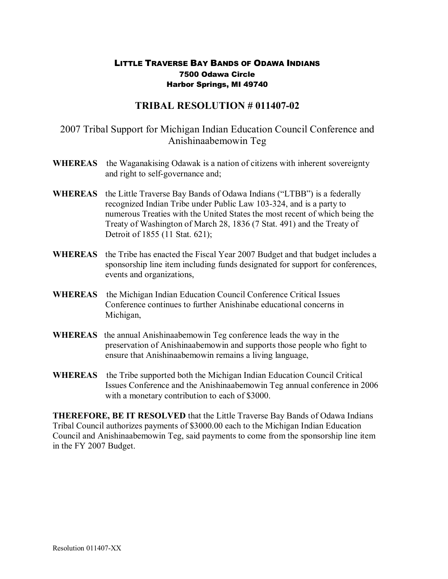## LITTLE TRAVERSE BAY BANDS OF ODAWA INDIANS 7500 Odawa Circle Harbor Springs, MI 49740

## **TRIBAL RESOLUTION # 011407-02**

## 2007 Tribal Support for Michigan Indian Education Council Conference and Anishinaabemowin Teg

- **WHEREAS** the Waganakising Odawak is a nation of citizens with inherent sovereignty and right to self-governance and:
- **WHEREAS** the Little Traverse Bay Bands of Odawa Indians ("LTBB") is a federally recognized Indian Tribe under Public Law 103-324, and is a party to numerous Treaties with the United States the most recent of which being the Treaty of Washington of March 28, 1836 (7 Stat. 491) and the Treaty of Detroit of 1855 (11 Stat. 621);
- **WHEREAS** the Tribe has enacted the Fiscal Year 2007 Budget and that budget includes a sponsorship line item including funds designated for support for conferences, events and organizations,
- **WHEREAS** the Michigan Indian Education Council Conference Critical Issues Conference continues to further Anishinabe educational concerns in Michigan,
- **WHEREAS** the annual Anishinaabemowin Teg conference leads the way in the preservation of Anishinaabemowin and supports those people who fight to ensure that Anishinaabemowin remains a living language,
- **WHEREAS** the Tribe supported both the Michigan Indian Education Council Critical Issues Conference and the Anishinaabemowin Teg annual conference in 2006 with a monetary contribution to each of \$3000.

**THEREFORE, BE IT RESOLVED** that the Little Traverse Bay Bands of Odawa Indians Tribal Council authorizes payments of \$3000.00 each to the Michigan Indian Education Council and Anishinaabemowin Teg, said payments to come from the sponsorship line item in the FY 2007 Budget.